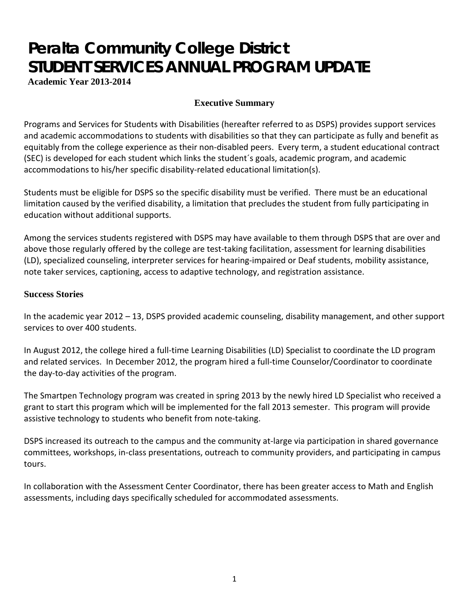# **Peralta Community College District STUDENT SERVICES ANNUAL PROGRAM UPDATE**

**Academic Year 2013-2014**

# **Executive Summary**

Programs and Services for Students with Disabilities (hereafter referred to as DSPS) provides support services and academic accommodations to students with disabilities so that they can participate as fully and benefit as equitably from the college experience as their non-disabled peers. Every term, a student educational contract (SEC) is developed for each student which links the student´s goals, academic program, and academic accommodations to his/her specific disability-related educational limitation(s).

Students must be eligible for DSPS so the specific disability must be verified. There must be an educational limitation caused by the verified disability, a limitation that precludes the student from fully participating in education without additional supports.

Among the services students registered with DSPS may have available to them through DSPS that are over and above those regularly offered by the college are test-taking facilitation, assessment for learning disabilities (LD), specialized counseling, interpreter services for hearing-impaired or Deaf students, mobility assistance, note taker services, captioning, access to adaptive technology, and registration assistance.

# **Success Stories**

In the academic year 2012 – 13, DSPS provided academic counseling, disability management, and other support services to over 400 students.

In August 2012, the college hired a full-time Learning Disabilities (LD) Specialist to coordinate the LD program and related services. In December 2012, the program hired a full-time Counselor/Coordinator to coordinate the day-to-day activities of the program.

The Smartpen Technology program was created in spring 2013 by the newly hired LD Specialist who received a grant to start this program which will be implemented for the fall 2013 semester. This program will provide assistive technology to students who benefit from note-taking.

DSPS increased its outreach to the campus and the community at-large via participation in shared governance committees, workshops, in-class presentations, outreach to community providers, and participating in campus tours.

In collaboration with the Assessment Center Coordinator, there has been greater access to Math and English assessments, including days specifically scheduled for accommodated assessments.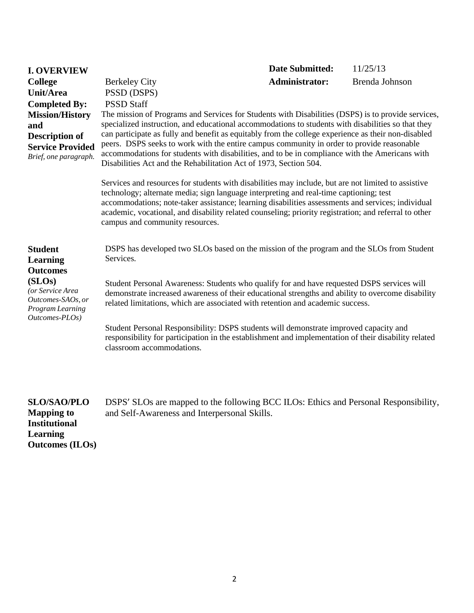| <b>I. OVERVIEW</b>                                                                                                                                                |                                                                                                                                                                                                                                                                                                                                                                                                                                                                                                                                                                                                                                                                                                                                                                                                                                                                                                                                                                                                                                                                                                                                              | <b>Date Submitted:</b> | 11/25/13 |  |  |
|-------------------------------------------------------------------------------------------------------------------------------------------------------------------|----------------------------------------------------------------------------------------------------------------------------------------------------------------------------------------------------------------------------------------------------------------------------------------------------------------------------------------------------------------------------------------------------------------------------------------------------------------------------------------------------------------------------------------------------------------------------------------------------------------------------------------------------------------------------------------------------------------------------------------------------------------------------------------------------------------------------------------------------------------------------------------------------------------------------------------------------------------------------------------------------------------------------------------------------------------------------------------------------------------------------------------------|------------------------|----------|--|--|
| <b>College</b><br>Unit/Area<br><b>Completed By:</b><br><b>Mission/History</b><br>and<br><b>Description of</b><br><b>Service Provided</b><br>Brief, one paragraph. | <b>Administrator:</b><br>Brenda Johnson<br><b>Berkeley City</b><br>PSSD (DSPS)<br><b>PSSD Staff</b><br>The mission of Programs and Services for Students with Disabilities (DSPS) is to provide services,<br>specialized instruction, and educational accommodations to students with disabilities so that they<br>can participate as fully and benefit as equitably from the college experience as their non-disabled<br>peers. DSPS seeks to work with the entire campus community in order to provide reasonable<br>accommodations for students with disabilities, and to be in compliance with the Americans with<br>Disabilities Act and the Rehabilitation Act of 1973, Section 504.<br>Services and resources for students with disabilities may include, but are not limited to assistive<br>technology; alternate media; sign language interpreting and real-time captioning; test<br>accommodations; note-taker assistance; learning disabilities assessments and services; individual<br>academic, vocational, and disability related counseling; priority registration; and referral to other<br>campus and community resources. |                        |          |  |  |
| <b>Student</b><br><b>Learning</b><br><b>Outcomes</b><br>(SLOS)<br>(or Service Area<br>Outcomes-SAOs, or<br>Program Learning<br>Outcomes-PLOs)                     | DSPS has developed two SLOs based on the mission of the program and the SLOs from Student<br>Services.<br>Student Personal Awareness: Students who qualify for and have requested DSPS services will<br>demonstrate increased awareness of their educational strengths and ability to overcome disability<br>related limitations, which are associated with retention and academic success.<br>Student Personal Responsibility: DSPS students will demonstrate improved capacity and<br>responsibility for participation in the establishment and implementation of their disability related<br>classroom accommodations.                                                                                                                                                                                                                                                                                                                                                                                                                                                                                                                    |                        |          |  |  |

**SLO/SAO/PLO Mapping to Institutional Learning Outcomes (ILOs)** DSPS' SLOs are mapped to the following BCC ILOs: Ethics and Personal Responsibility, and Self-Awareness and Interpersonal Skills.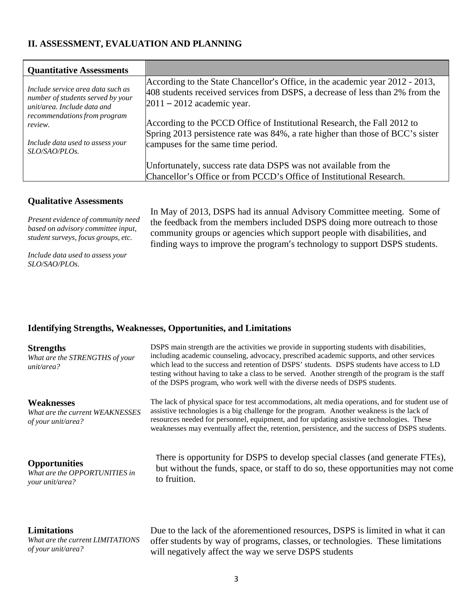# **II. ASSESSMENT, EVALUATION AND PLANNING**

| <b>Quantitative Assessments</b>                                                                         |                                                                                                                                                                                                |
|---------------------------------------------------------------------------------------------------------|------------------------------------------------------------------------------------------------------------------------------------------------------------------------------------------------|
| Include service area data such as<br>number of students served by your<br>$unit/area.$ Include data and | According to the State Chancellor's Office, in the academic year 2012 - 2013,<br>408 students received services from DSPS, a decrease of less than 2% from the<br>$2011 - 2012$ academic year. |
| recommendations from program<br>review.                                                                 | According to the PCCD Office of Institutional Research, the Fall 2012 to<br>Spring 2013 persistence rate was 84%, a rate higher than those of BCC's sister                                     |
| Include data used to assess your<br>SLO/SAO/PLOs.                                                       | campuses for the same time period.                                                                                                                                                             |
|                                                                                                         | Unfortunately, success rate data DSPS was not available from the<br>Chancellor's Office or from PCCD's Office of Institutional Research.                                                       |

#### **Qualitative Assessments**

*Present evidence of community need based on advisory committee input, student surveys, focus groups, etc.*

In May of 2013, DSPS had its annual Advisory Committee meeting. Some of the feedback from the members included DSPS doing more outreach to those community groups or agencies which support people with disabilities, and finding ways to improve the program's technology to support DSPS students.

*Include data used to assess your SLO/SAO/PLOs.*

### **Identifying Strengths, Weaknesses, Opportunities, and Limitations**

| <b>Strengths</b><br>What are the STRENGTHS of your<br>unit/area?           | DSPS main strength are the activities we provide in supporting students with disabilities,<br>including academic counseling, advocacy, prescribed academic supports, and other services<br>which lead to the success and retention of DSPS' students. DSPS students have access to LD<br>testing without having to take a class to be served. Another strength of the program is the staff<br>of the DSPS program, who work well with the diverse needs of DSPS students. |
|----------------------------------------------------------------------------|---------------------------------------------------------------------------------------------------------------------------------------------------------------------------------------------------------------------------------------------------------------------------------------------------------------------------------------------------------------------------------------------------------------------------------------------------------------------------|
| <b>Weaknesses</b><br>What are the current WEAKNESSES<br>of your unit/area? | The lack of physical space for test accommodations, alt media operations, and for student use of<br>assistive technologies is a big challenge for the program. Another weakness is the lack of<br>resources needed for personnel, equipment, and for updating assistive technologies. These<br>weaknesses may eventually affect the, retention, persistence, and the success of DSPS students.                                                                            |
| <b>Opportunities</b>                                                       | There is opportunity for DSPS to develop special classes (and generate FTEs),                                                                                                                                                                                                                                                                                                                                                                                             |
| What are the OPPORTUNITIES in                                              | but without the funds, space, or staff to do so, these opportunities may not come                                                                                                                                                                                                                                                                                                                                                                                         |
| your unit/area?                                                            | to fruition.                                                                                                                                                                                                                                                                                                                                                                                                                                                              |
| <b>Limitations</b>                                                         | Due to the lack of the aforementioned resources, DSPS is limited in what it can                                                                                                                                                                                                                                                                                                                                                                                           |
| What are the current LIMITATIONS                                           | offer students by way of programs, classes, or technologies. These limitations                                                                                                                                                                                                                                                                                                                                                                                            |
| of your unit/area?                                                         | will negatively affect the way we serve DSPS students                                                                                                                                                                                                                                                                                                                                                                                                                     |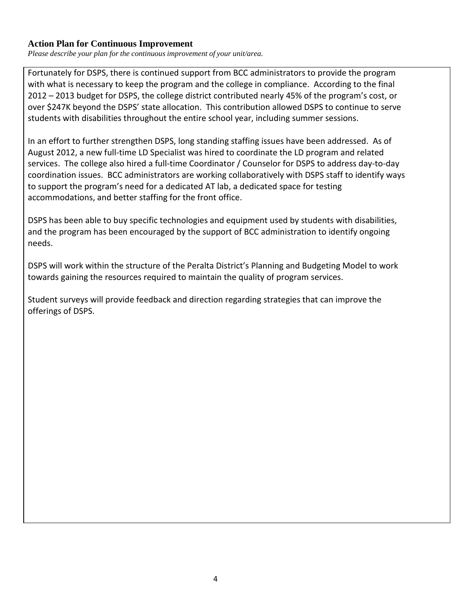# **Action Plan for Continuous Improvement**

*Please describe your plan for the continuous improvement of your unit/area.*

Fortunately for DSPS, there is continued support from BCC administrators to provide the program with what is necessary to keep the program and the college in compliance. According to the final 2012 – 2013 budget for DSPS, the college district contributed nearly 45% of the program's cost, or over \$247K beyond the DSPS' state allocation. This contribution allowed DSPS to continue to serve students with disabilities throughout the entire school year, including summer sessions.

In an effort to further strengthen DSPS, long standing staffing issues have been addressed. As of August 2012, a new full-time LD Specialist was hired to coordinate the LD program and related services. The college also hired a full-time Coordinator / Counselor for DSPS to address day-to-day coordination issues. BCC administrators are working collaboratively with DSPS staff to identify ways to support the program's need for a dedicated AT lab, a dedicated space for testing accommodations, and better staffing for the front office.

DSPS has been able to buy specific technologies and equipment used by students with disabilities, and the program has been encouraged by the support of BCC administration to identify ongoing needs.

DSPS will work within the structure of the Peralta District's Planning and Budgeting Model to work towards gaining the resources required to maintain the quality of program services.

Student surveys will provide feedback and direction regarding strategies that can improve the offerings of DSPS.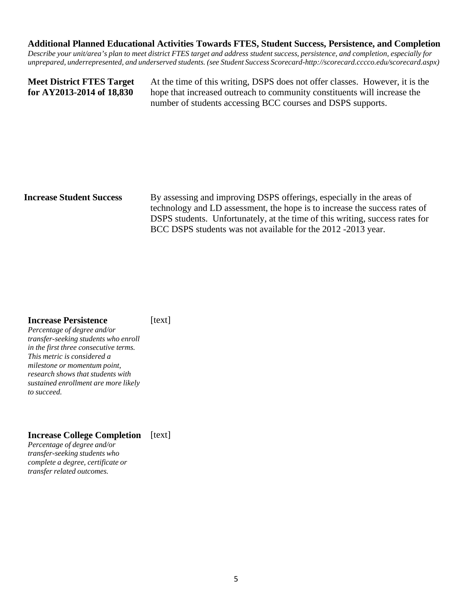#### **Additional Planned Educational Activities Towards FTES, Student Success, Persistence, and Completion**

Describe your unit/area's plan to meet district FTES target and address student success, persistence, and completion, especially for *unprepared, underrepresented, and underserved students. (see Student Success Scorecard[-http://scorecard.cccco.edu/scorecard.aspx\)](http://scorecard.cccco.edu/scorecard.aspx))*

**Meet District FTES Target for AY2013-2014 of 18,830**

At the time of this writing, DSPS does not offer classes. However, it is the hope that increased outreach to community constituents will increase the number of students accessing BCC courses and DSPS supports.

**Increase Student Success** By assessing and improving DSPS offerings, especially in the areas of technology and LD assessment, the hope is to increase the success rates of DSPS students. Unfortunately, at the time of this writing, success rates for BCC DSPS students was not available for the 2012 -2013 year.

#### **Increase Persistence**

[text]

*Percentage of degree and/or transfer-seeking students who enroll in the first three consecutive terms. This metric is considered a milestone or momentum point, research shows that students with sustained enrollment are more likely to succeed.*

# **Increase College Completion** [text]

*Percentage of degree and/or transfer-seeking students who complete a degree, certificate or transfer related outcomes.*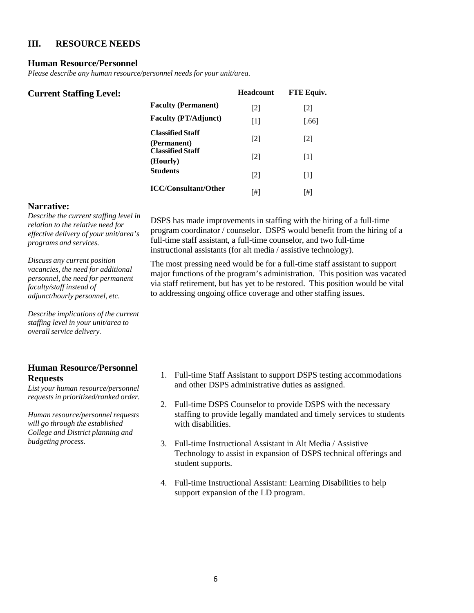# **III. RESOURCE NEEDS**

#### **Human Resource/Personnel**

*Please describe any human resource/personnel needs for your unit/area.*

| <b>Current Staffing Level:</b> |                                        | <b>Headcount</b> | FTE Equiv. |
|--------------------------------|----------------------------------------|------------------|------------|
|                                | <b>Faculty (Permanent)</b>             | $[2]$            | $[2]$      |
|                                | <b>Faculty (PT/Adjunct)</b>            | $[1]$            | [.66]      |
|                                | <b>Classified Staff</b><br>(Permanent) | $[2]$            | $[2]$      |
|                                | <b>Classified Staff</b><br>(Hourly)    | $[2]$            | $[1]$      |
|                                | <b>Students</b>                        | $[2]$            | $[1]$      |
|                                | <b>ICC/Consultant/Other</b>            | [#]              |            |

#### **Narrative:**

*Describe the current staffing level in relation to the relative need for effective delivery of your unit/area's programs and services.*

*Discuss any current position vacancies, the need for additional personnel, the need for permanent faculty/staff instead of adjunct/hourly personnel, etc.*

*Describe implications of the current staffing level in your unit/area to overallservice delivery.*

# **Human Resource/Personnel Requests**

*List your human resource/personnel requests in prioritized/ranked order.*

*Human resource/personnel requests will go through the established College and District planning and budgeting process.*

DSPS has made improvements in staffing with the hiring of a full-time program coordinator / counselor. DSPS would benefit from the hiring of a full-time staff assistant, a full-time counselor, and two full-time instructional assistants (for alt media / assistive technology).

The most pressing need would be for a full-time staff assistant to support major functions of the program's administration. This position was vacated via staff retirement, but has yet to be restored. This position would be vital to addressing ongoing office coverage and other staffing issues.

- 1. Full-time Staff Assistant to support DSPS testing accommodations and other DSPS administrative duties as assigned.
- 2. Full-time DSPS Counselor to provide DSPS with the necessary staffing to provide legally mandated and timely services to students with disabilities.
- 3. Full-time Instructional Assistant in Alt Media / Assistive Technology to assist in expansion of DSPS technical offerings and student supports.
- 4. Full-time Instructional Assistant: Learning Disabilities to help support expansion of the LD program.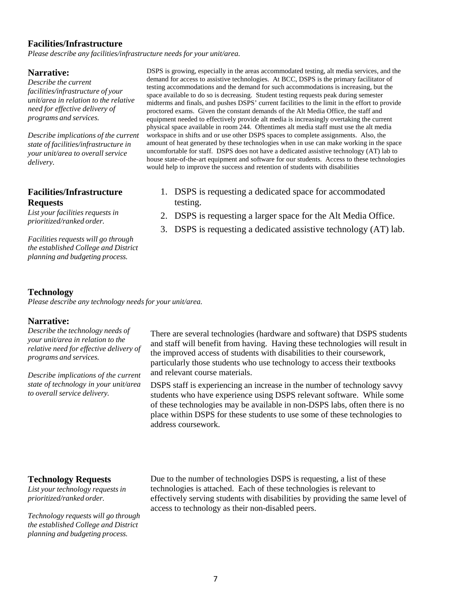#### **Facilities/Infrastructure**

*Please describe any facilities/infrastructure needs for your unit/area.*

#### **Narrative:**

*Describe the current facilities/infrastructure of your unit/area in relation to the relative need for effective delivery of programs and services.*

*Describe implications of the current state of facilities/infrastructure in your unit/area to overall service delivery.*

### **Facilities/Infrastructure Requests**

*List your facilities requests in prioritized/ranked order.*

*Facilities requests will go through the established College and District planning and budgeting process.*

DSPS is growing, especially in the areas accommodated testing, alt media services, and the demand for access to assistive technologies. At BCC, DSPS is the primary facilitator of testing accommodations and the demand for such accommodations is increasing, but the space available to do so is decreasing. Student testing requests peak during semester midterms and finals, and pushes DSPS' current facilities to the limit in the effort to provide proctored exams. Given the constant demands of the Alt Media Office, the staff and equipment needed to effectively provide alt media is increasingly overtaking the current physical space available in room 244. Oftentimes alt media staff must use the alt media workspace in shifts and or use other DSPS spaces to complete assignments. Also, the amount of heat generated by these technologies when in use can make working in the space uncomfortable for staff. DSPS does not have a dedicated assistive technology (AT) lab to house state-of-the-art equipment and software for our students. Access to these technologies would help to improve the success and retention of students with disabilities

- 1. DSPS is requesting a dedicated space for accommodated testing.
- 2. DSPS is requesting a larger space for the Alt Media Office.
- 3. DSPS is requesting a dedicated assistive technology (AT) lab.

#### **Technology**

*Please describe any technology needs for your unit/area.*

#### **Narrative:**

*Describe the technology needs of your unit/area in relation to the relative need for effective delivery of programs and services.*

*Describe implications of the current state of technology in your unit/area to overall service delivery.*

There are several technologies (hardware and software) that DSPS students and staff will benefit from having. Having these technologies will result in the improved access of students with disabilities to their coursework, particularly those students who use technology to access their textbooks and relevant course materials.

DSPS staff is experiencing an increase in the number of technology savvy students who have experience using DSPS relevant software. While some of these technologies may be available in non-DSPS labs, often there is no place within DSPS for these students to use some of these technologies to address coursework.

#### **Technology Requests**

*List your technology requests in prioritized/ranked order.*

*Technology requests will go through the established College and District planning and budgeting process.*

Due to the number of technologies DSPS is requesting, a list of these technologies is attached. Each of these technologies is relevant to effectively serving students with disabilities by providing the same level of access to technology as their non-disabled peers.